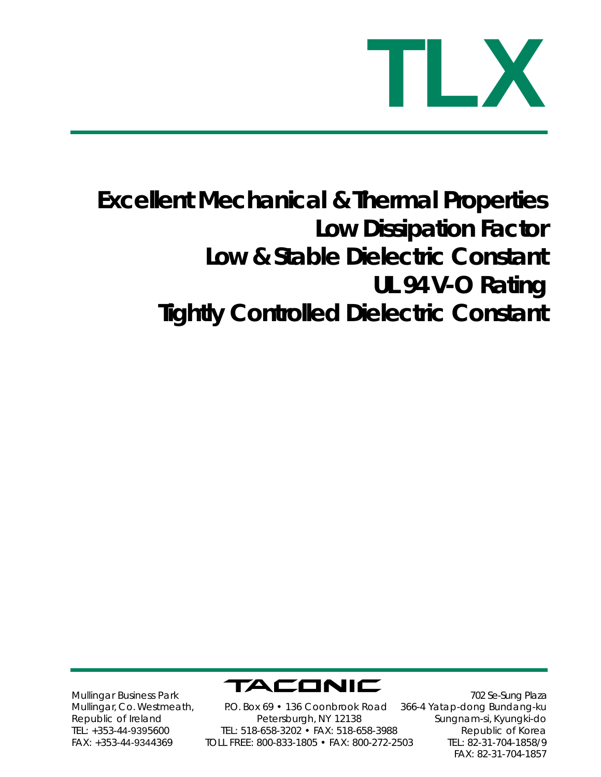

## **Excellent Mechanical & Thermal Properties Low Dissipation Factor Low & Stable Dielectric Constant UL 94 V-O Rating Tightly Controlled Dielectric Constant**



Mullingar Business Park Mullingar, Co. Westmeath, Republic of Ireland TEL: +353-44-9395600 FAX: +353-44-9344369

P.O. Box 69 • 136 Coonbrook Road Petersburgh, NY 12138 TEL: 518-658-3202 • FAX: 518-658-3988 TOLL FREE: 800-833-1805 • FAX: 800-272-2503

 702 Se-Sung Plaza 366-4 Yatap-dong Bundang-ku Sungnam-si, Kyungki-do Republic of Korea TEL: 82-31-704-1858/9 FAX: 82-31-704-1857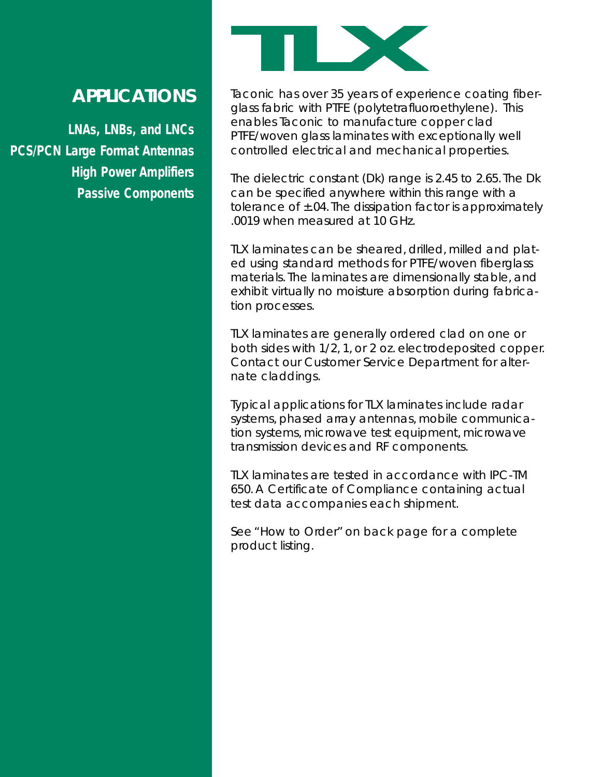## **TLX**

## *APPLICATIONS*

**LNAs, LNBs, and LNCs PCS/PCN Large Format Antennas High Power Amplifiers Passive Components** Taconic has over 35 years of experience coating fiberglass fabric with PTFE (polytetrafluoroethylene). This enables Taconic to manufacture copper clad PTFE/woven glass laminates with exceptionally well controlled electrical and mechanical properties.

The dielectric constant (Dk) range is 2.45 to 2.65. The Dk can be specified anywhere within this range with a tolerance of  $\pm$ .04. The dissipation factor is approximately .0019 when measured at 10 GHz.

TLX laminates can be sheared, drilled, milled and plated using standard methods for PTFE/woven fiberglass materials. The laminates are dimensionally stable, and exhibit virtually no moisture absorption during fabrication processes.

TLX laminates are generally ordered clad on one or both sides with 1/2, 1, or 2 oz. electrodeposited copper. Contact our Customer Service Department for alternate claddings.

Typical applications for TLX laminates include radar systems, phased array antennas, mobile communication systems, microwave test equipment, microwave transmission devices and RF components.

TLX laminates are tested in accordance with IPC-TM 650. A Certificate of Compliance containing actual test data accompanies each shipment.

See "How to Order" on back page for a complete product listing.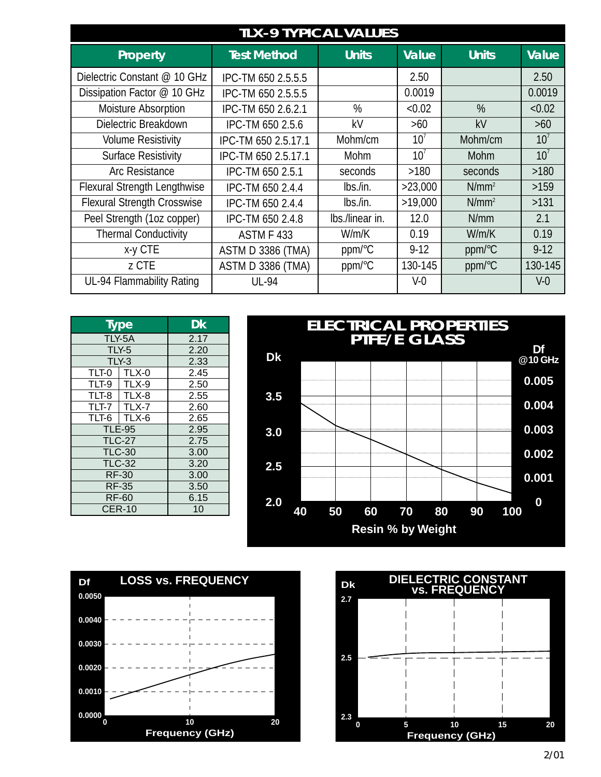| <b>TLX-9 TYPICAL VALUES</b>         |                          |                 |                 |              |                 |  |  |
|-------------------------------------|--------------------------|-----------------|-----------------|--------------|-----------------|--|--|
| Property                            | <b>Test Method</b>       | Units           | <b>Value</b>    | <b>Units</b> | <b>Value</b>    |  |  |
| Dielectric Constant @ 10 GHz        | IPC-TM 650 2.5.5.5       |                 | 2.50            |              | 2.50            |  |  |
| Dissipation Factor @ 10 GHz         | IPC-TM 650 2.5.5.5       |                 | 0.0019          |              | 0.0019          |  |  |
| <b>Moisture Absorption</b>          | IPC-TM 650 2.6.2.1       | %               | < 0.02          | %            | < 0.02          |  |  |
| Dielectric Breakdown                | IPC-TM 650 2.5.6         | kV              | $>60$           | kV           | $>60$           |  |  |
| <b>Volume Resistivity</b>           | IPC-TM 650 2.5.17.1      | Mohm/cm         | 10 <sup>7</sup> | Mohm/cm      | 10 <sup>7</sup> |  |  |
| <b>Surface Resistivity</b>          | IPC-TM 650 2.5.17.1      | <b>Mohm</b>     | 10 <sup>7</sup> | <b>Mohm</b>  | 10 <sup>7</sup> |  |  |
| <b>Arc Resistance</b>               | IPC-TM 650 2.5.1         | seconds         | >180            | seconds      | $>180$          |  |  |
| <b>Flexural Strength Lengthwise</b> | IPC-TM 650 2.4.4         | lbs./in.        | >23,000         | $N/mm^2$     | >159            |  |  |
| <b>Flexural Strength Crosswise</b>  | IPC-TM 650 2.4.4         | lbs./in.        | >19,000         | $N/mm^2$     | >131            |  |  |
| Peel Strength (1oz copper)          | IPC-TM 650 2.4.8         | Ibs./linear in. | 12.0            | N/mm         | 2.1             |  |  |
| <b>Thermal Conductivity</b>         | <b>ASTM F 433</b>        | W/m/K           | 0.19            | W/m/K        | 0.19            |  |  |
| x-y CTE                             | <b>ASTM D 3386 (TMA)</b> | ppm/°C          | $9 - 12$        | ppm/°C       | $9 - 12$        |  |  |
| z CTE                               | <b>ASTM D 3386 (TMA)</b> | ppm/°C          | 130-145         | ppm/°C       | 130-145         |  |  |
| UL-94 Flammability Rating           | <b>UL-94</b>             |                 | $V-0$           |              | V <sub>0</sub>  |  |  |

| <b>Type</b>   | Dk                |      |  |
|---------------|-------------------|------|--|
| TLY-5A        |                   | 2.17 |  |
| <b>TLY-5</b>  |                   | 2.20 |  |
| TLY-3         |                   | 2.33 |  |
|               | $TLT-0$   $TLX-0$ | 2.45 |  |
|               | $TLT-9$   $TLX-9$ | 2.50 |  |
|               | $TLT-8$   $TLX-8$ | 2.55 |  |
| $TLT-7$       | TLX-7             | 2.60 |  |
| $TLT-6$       | TLX-6             | 2.65 |  |
| <b>TLE-95</b> |                   | 2.95 |  |
| <b>TLC-27</b> |                   | 2.75 |  |
| <b>TLC-30</b> |                   | 3.00 |  |
| <b>TLC-32</b> |                   | 3.20 |  |
| <b>RF-30</b>  |                   | 3.00 |  |
| <b>RF-35</b>  |                   | 3.50 |  |
| <b>RF-60</b>  |                   | 6.15 |  |
| <b>CER-10</b> |                   | 10   |  |